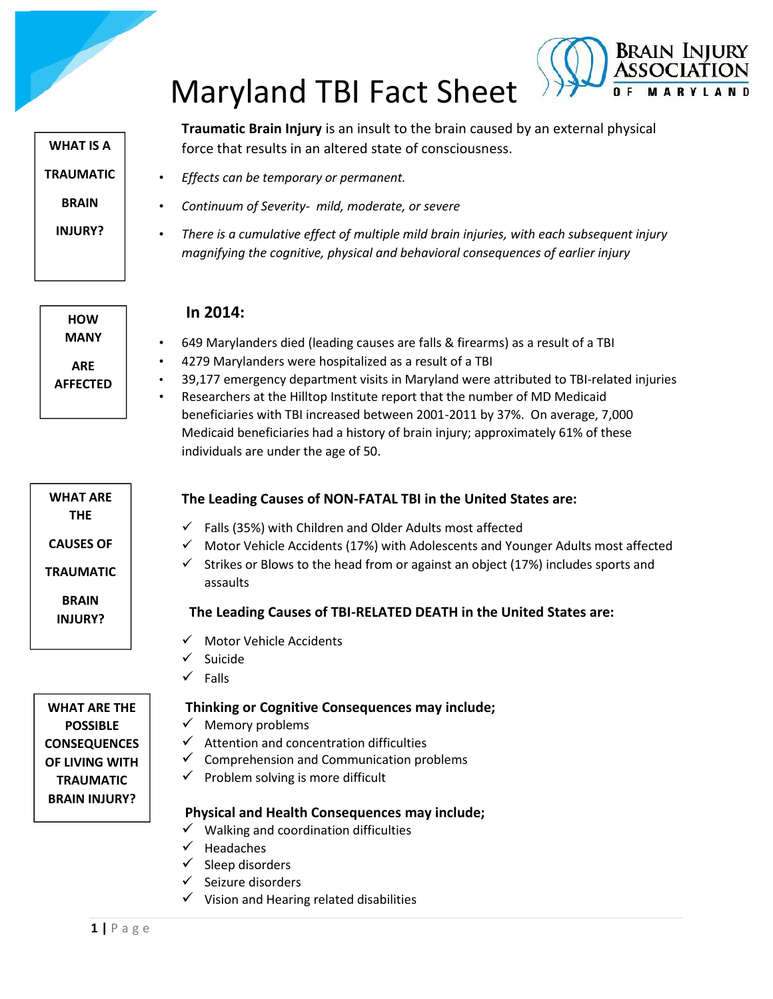# Maryland TBI Fact Sheet



**Traumatic Brain Injury** is an insult to the brain caused by an external physical force that results in an altered state of consciousness.

Brain Injury

- *Effects can be temporary or permanent.*
- *Continuum of Severity- mild, moderate, or severe*
- *There is a cumulative effect of multiple mild brain injuries, with each subsequent injury magnifying the cognitive, physical and behavioral consequences of earlier injury*

**HOW MANY ARE AFFECTED**

**WHAT ARE THE**

**CAUSES OF**

**TRAUMATIC**

**BRAIN INJURY?**

## **In 2014:**

- 649 Marylanders died (leading causes are falls & firearms) as a result of a TBI
- 4279 Marylanders were hospitalized as a result of a TBI
- 39,177 emergency department visits in Maryland were attributed to TBI-related injuries
- Researchers at the Hilltop Institute report that the number of MD Medicaid beneficiaries with TBI increased between 2001-2011 by 37%. On average, 7,000 Medicaid beneficiaries had a history of brain injury; approximately 61% of these individuals are under the age of 50.

## **The Leading Causes of NON-FATAL TBI in the United States are:**

- $\checkmark$  Falls (35%) with Children and Older Adults most affected
- Motor Vehicle Accidents (17%) with Adolescents and Younger Adults most affected
- Strikes or Blows to the head from or against an object (17%) includes sports and assaults

## **The Leading Causes of TBI-RELATED DEATH in the United States are:**

- $\checkmark$  Motor Vehicle Accidents
- $\checkmark$  Suicide
- $\checkmark$  Falls

## **Thinking or Cognitive Consequences may include;**

- $\checkmark$  Memory problems
- $\checkmark$  Attention and concentration difficulties
- $\checkmark$  Comprehension and Communication problems
- $\checkmark$  Problem solving is more difficult

## **Physical and Health Consequences may include;**

- $\checkmark$  Walking and coordination difficulties
- $\checkmark$  Headaches
- <del>1</del> Headache<br>
→ Sleep disc<br>
→ Seizure di<br>
→ Vision and<br>
→ Vision and<br>
→ Vision and  $\checkmark$  Sleep disorders
	- Seizure disorders
	- $\checkmark$  Vision and Hearing related disabilities

**WHAT ARE THE POSSIBLE CONSEQUENCES OF LIVING WITH TRAUMATIC BRAIN INJURY?**